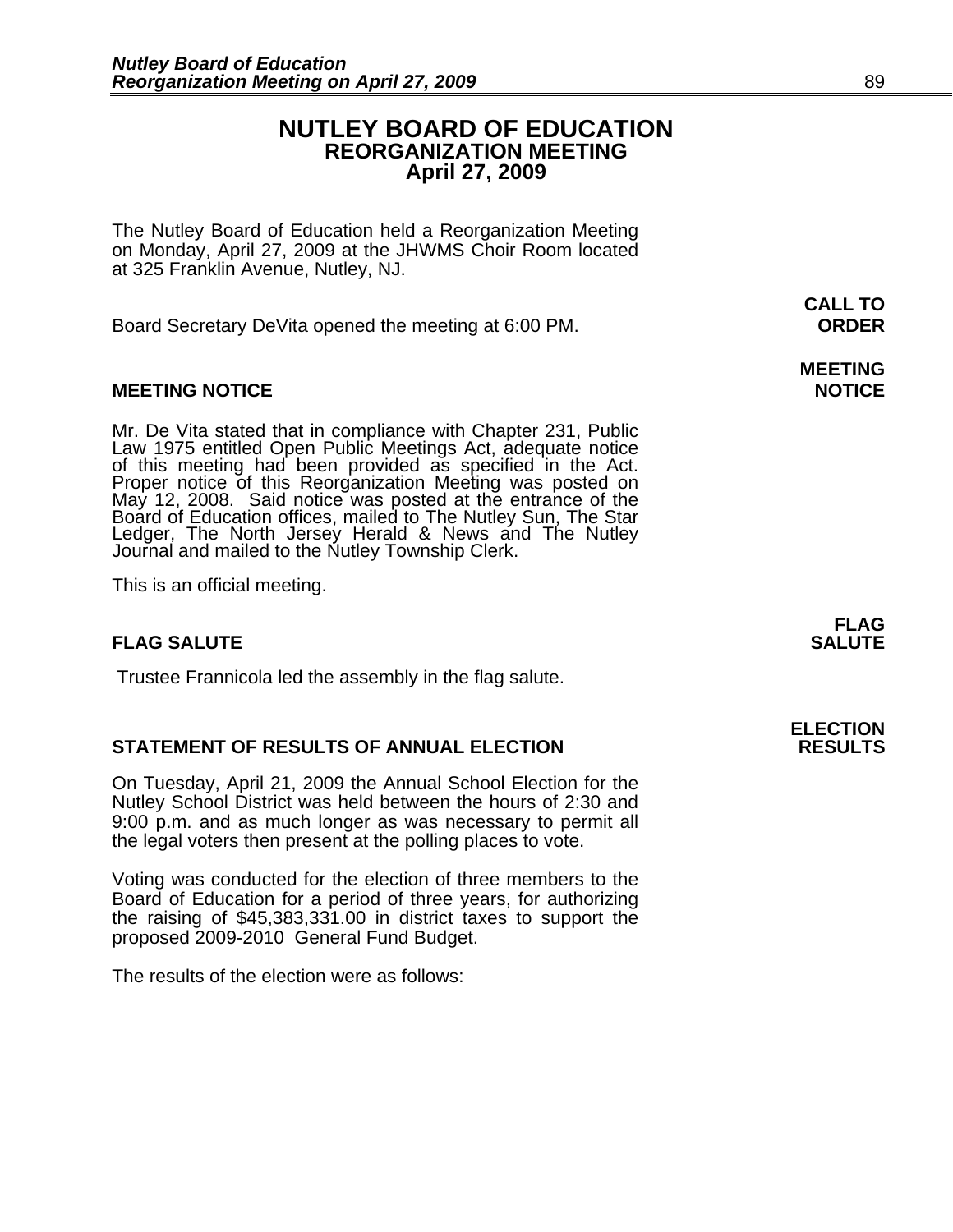# **NUTLEY BOARD OF EDUCATION REORGANIZATION MEETING April 27, 2009**

**CALL TO** 

The Nutley Board of Education held a Reorganization Meeting on Monday, April 27, 2009 at the JHWMS Choir Room located at 325 Franklin Avenue, Nutley, NJ.

Board Secretary DeVita opened the meeting at 6:00 PM. **ORDER**

# **MEETING NOTICE NOTICE REPORTS AND ALCOHOL**

Mr. De Vita stated that in compliance with Chapter 231, Public<br>Law 1975 entitled Open Public Meetings Act, adequate notice<br>of this meeting had been provided as specified in the Act.<br>Proper notice of this Reorganization Mee Journal and mailed to the Nutley Township Clerk.

This is an official meeting.

# **FLAG SALUTE** SALUTE SALUTE SALUTE SALUTE SALUTE SALUTE SALUTE SALUTE SALUTE SALUTE SALUTE SALUTE SALUTE SALUTE SALUTE SALUTE SALUTE SALUTE SALUTE SALUTE SALUTE SALUTE SALUTE SALUTE SALUTE SALUTE SALUTE SALUTE SALUTE SALUT

Trustee Frannicola led the assembly in the flag salute.

# **STATEMENT OF RESULTS OF ANNUAL ELECTION RESULTS**

On Tuesday, April 21, 2009 the Annual School Election for the Nutley School District was held between the hours of 2:30 and 9:00 p.m. and as much longer as was necessary to permit all the legal voters then present at the polling places to vote.

Voting was conducted for the election of three members to the Board of Education for a period of three years, for authorizing the raising of \$45,383,331.00 in district taxes to support the proposed 2009-2010 General Fund Budget.

The results of the election were as follows:

**FLAG**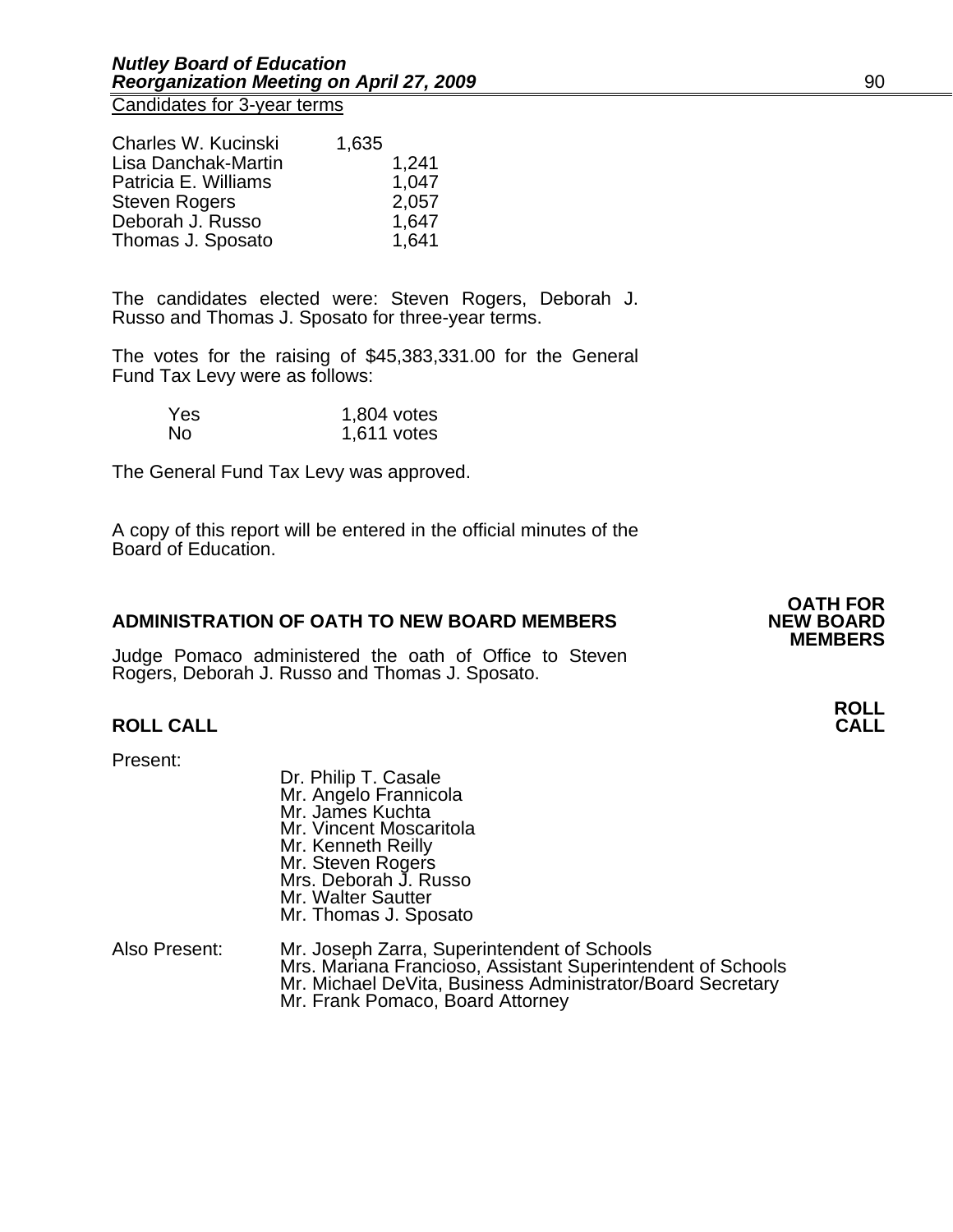Candidates for 3-year terms

| Charles W. Kucinski  | 1,635 |       |
|----------------------|-------|-------|
| Lisa Danchak-Martin  |       | 1,241 |
| Patricia E. Williams |       | 1,047 |
| <b>Steven Rogers</b> |       | 2,057 |
| Deborah J. Russo     |       | 1,647 |
| Thomas J. Sposato    |       | 1,641 |

The candidates elected were: Steven Rogers, Deborah J. Russo and Thomas J. Sposato for three-year terms.

The votes for the raising of \$45,383,331.00 for the General Fund Tax Levy were as follows:

| Yes. | 1,804 votes   |
|------|---------------|
| No   | $1,611$ votes |

The General Fund Tax Levy was approved.

A copy of this report will be entered in the official minutes of the Board of Education.

#### **ADMINISTRATION OF OATH TO NEW BOARD MEMBERS**

Judge Pomaco administered the oath of Office to Steven Rogers, Deborah J. Russo and Thomas J. Sposato.

# **ROLL CALL**

Present:

- Dr. Philip T. Casale Mr. Angelo Frannicola Mr. James Kuchta Mr. Vincent Moscaritola Mr. Kenneth Reilly Mr. Steven Rogers Mrs. Deborah J. Russo Mr. Walter Sautter Mr. Thomas J. Sposato
- Also Present: Mr. Joseph Zarra, Superintendent of Schools<br>Mrs. Mariana Francioso, Assistant Superintendent of Schools Mr. Michael DeVita, Business Administrator/Board Secretary<br>Mr. Frank Pomaco, Board Attorney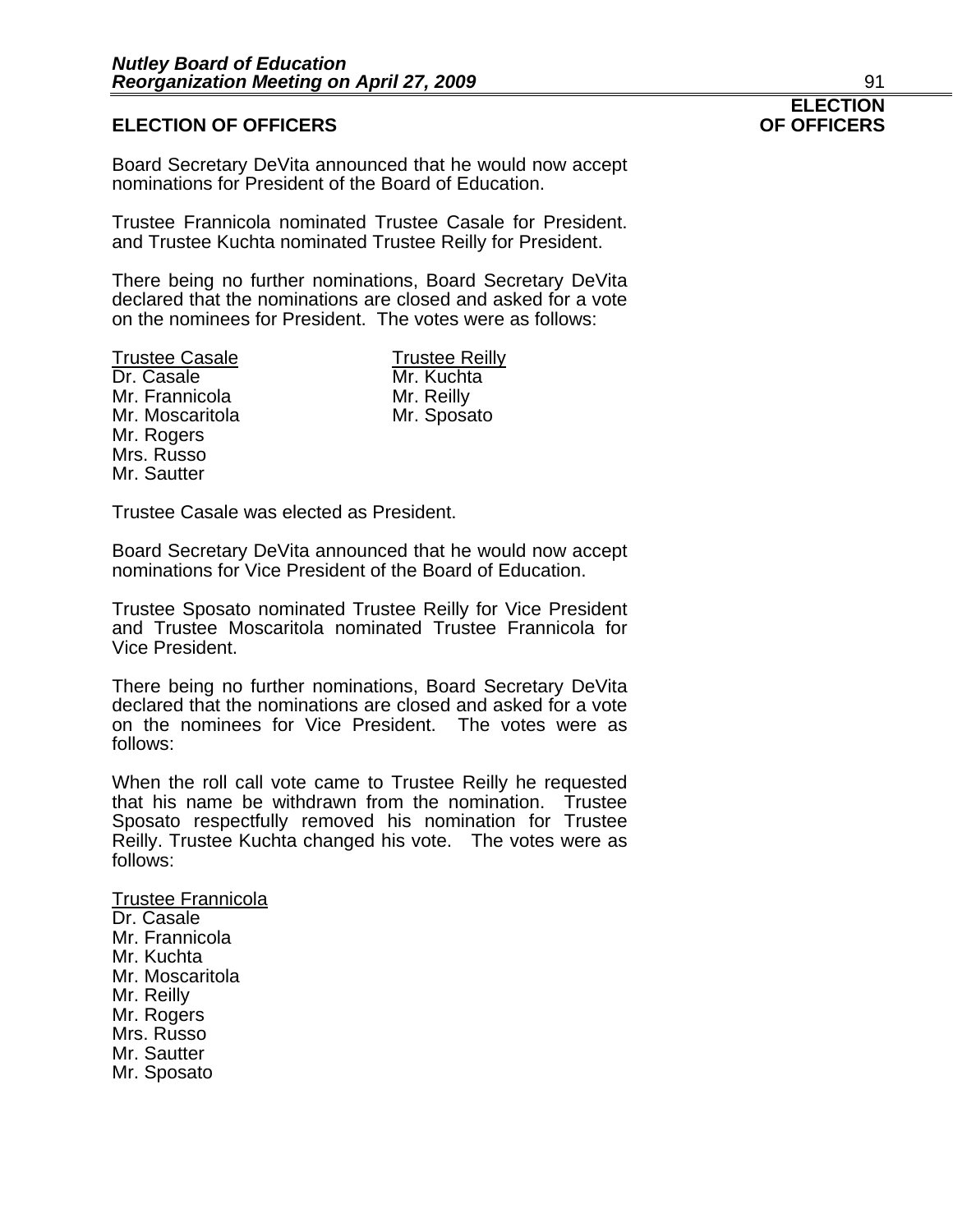## **ELECTION OF OFFICERS**

Board Secretary DeVita announced that he would now accept nominations for President of the Board of Education.

Trustee Frannicola nominated Trustee Casale for President. and Trustee Kuchta nominated Trustee Reilly for President.

There being no further nominations, Board Secretary DeVita declared that the nominations are closed and asked for a vote on the nominees for President. The votes were as follows:

Trustee Casale Trustee Reilly<br>
Dr. Casale Trustee Reilly Mr. Frannicola Mr. Reilly Mr. Moscaritola Mr. Sposato Mr. Rogers Mrs. Russo Mr. Sautter

Mr. Kuchta

Trustee Casale was elected as President.

Board Secretary DeVita announced that he would now accept nominations for Vice President of the Board of Education.

Trustee Sposato nominated Trustee Reilly for Vice President and Trustee Moscaritola nominated Trustee Frannicola for Vice President.

There being no further nominations, Board Secretary DeVita declared that the nominations are closed and asked for a vote on the nominees for Vice President. The votes were as follows:

When the roll call vote came to Trustee Reilly he requested that his name be withdrawn from the nomination. Trustee Sposato respectfully removed his nomination for Trustee Reilly. Trustee Kuchta changed his vote. The votes were as follows:

### Trustee Frannicola Dr. Casale Mr. Frannicola Mr. Kuchta Mr. Moscaritola Mr. Reilly Mr. Rogers Mrs. Russo Mr. Sautter Mr. Sposato

# **ELECTION**<br>**OF OFFICERS**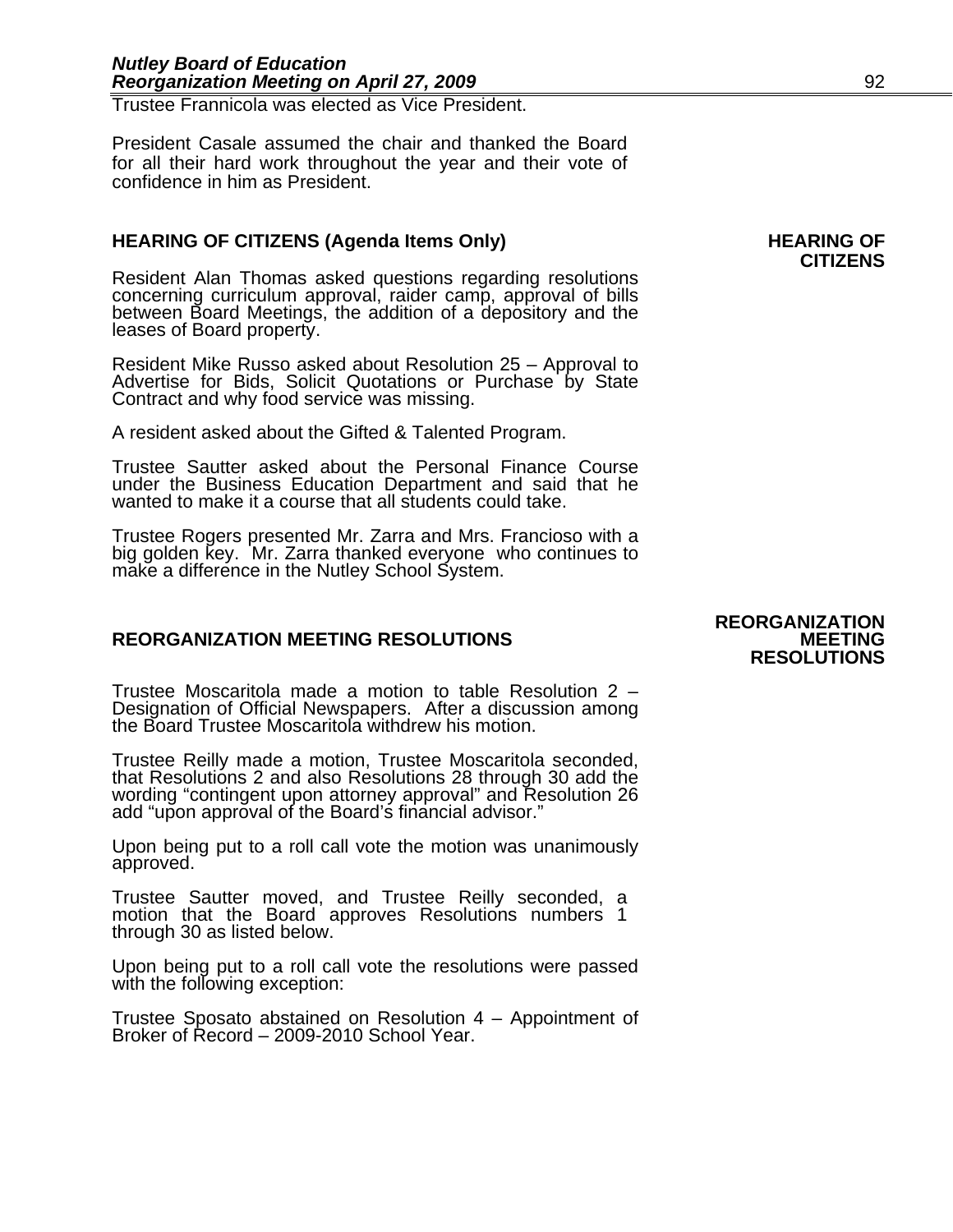Trustee Frannicola was elected as Vice President.

President Casale assumed the chair and thanked the Board for all their hard work throughout the year and their vote of confidence in him as President.

# HEARING OF CITIZENS (Agenda Items Only) **HEARING OF**

Resident Alan Thomas asked questions regarding resolutions concerning curriculum approval, raider camp, approval of bills between Board Meetings, the addition of a depository and the leases of Board property.

Resident Mike Russo asked about Resolution 25 – Approval to Advertise for Bids, Solicit Quotations or Purchase by State Contract and why food service was missing.

A resident asked about the Gifted & Talented Program.

Trustee Sautter asked about the Personal Finance Course under the Business Education Department and said that he wanted to make it a course that all students could take.

Trustee Rogers presented Mr. Zarra and Mrs. Francioso with a big golden key. Mr. Zarra thanked everyone who continues to make a difference in the Nutley School System.

# **REORGANIZATION MEETING RESOLUTIONS**

Trustee Moscaritola made a motion to table Resolution 2 – Designation of Official Newspapers. After a discussion among the Board Trustee Moscaritola withdrew his motion.

Trustee Reilly made a motion, Trustee Moscaritola seconded, that Resolutions 2 and also Resolutions 28 through 30 add the<br>wording "contingent upon attorney approval" and Resolution 26 add "upon approval of the Board's financial advisor."

Upon being put to a roll call vote the motion was unanimously approved.

Trustee Sautter moved, and Trustee Reilly seconded, a motion that the Board approves Resolutions numbers 1 through 30 as listed below.

Upon being put to a roll call vote the resolutions were passed with the following exception:

Trustee Sposato abstained on Resolution 4 – Appointment of Broker of Record – 2009-2010 School Year.

# **REORGANIZATION RESOLUTIONS**

# **CITIZENS**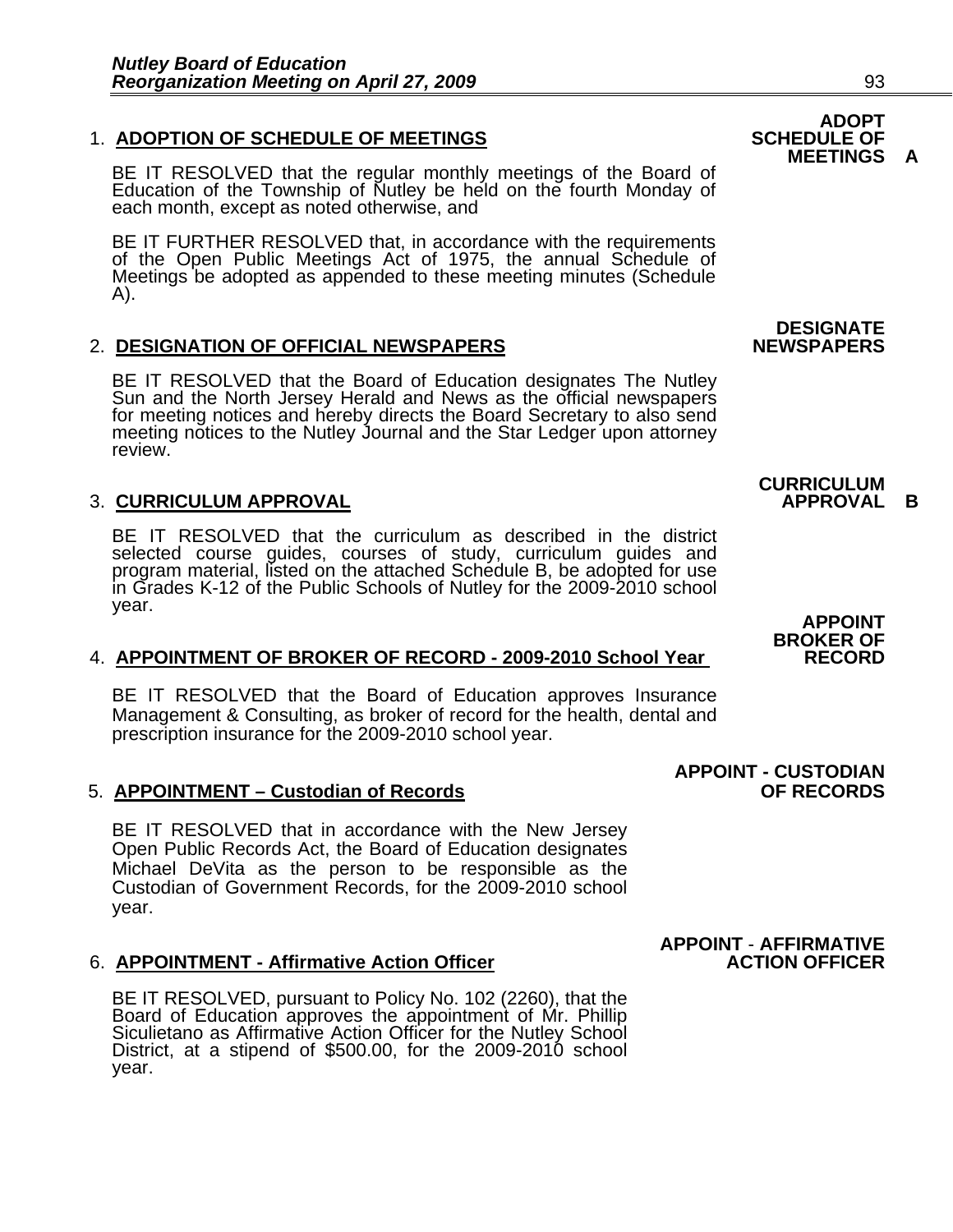# **1. ADOPTION OF SCHEDULE OF MEETINGS**

BE IT RESOLVED that the regular monthly meetings of the Board of Education of the Township of Nutley be held on the fourth Monday of each month, except as noted otherwise, and

BE IT FURTHER RESOLVED that, in accordance with the requirements of the Open Public Meetings Act of 1975, the annual Schedule of Meetings be adopted as appended to these meeting minutes (Schedule A).

# 2. **DESIGNATION OF OFFICIAL NEWSPAPERS**

BE IT RESOLVED that the Board of Education designates The Nutley<br>Sun and the North Jersey Herald and News as the official newspapers<br>for meeting notices and hereby directs the Board Secretary to also send<br>meeting notices t

# **3. CURRICULUM APPROVAL**

BE IT RESOLVED that the curriculum as described in the district selected course guides, courses of study, curriculum guides and program material, listed on the attached Schedule B, be adopted for use<br>in Grades K-12 of the Public Schools of Nutley for the 2009-2010 school in Grades K-12 of the Public Schools of Nutley for the 2009-2010 school<br>year.

# **BROKER OF** 4. **APPOINTMENT OF BROKER OF RECORD - 2009-2010 School Year RECORD**

BE IT RESOLVED that the Board of Education approves Insurance Management & Consulting, as broker of record for the health, dental and prescription insurance for the 2009-2010 school year.

#### 5. **APPOINTMENT – Custodian of Records OF RECORDS**

BE IT RESOLVED that in accordance with the New Jersey Open Public Records Act, the Board of Education designates Michael DeVita as the person to be responsible as the Custodian of Government Records, for the 2009-2010 school year.

#### 6. **APPOINTMENT - Affirmative Action Officer**

BE IT RESOLVED, pursuant to Policy No. 102 (2260), that the Board of Education approves the appointment of Mr. Phillip Siculietano as Affirmative Action Officer for the Nutley School District, at a stipend of \$500.00, for year.

# **ADOPT<br>SCHEDULE OF MEETINGS A**

**DESIGNATE** 

# **CURRICULUM**

**APPOINT<br>BROKER OF** 

 **APPOINT - CUSTODIAN** 

**APPOINT** - **AFFIRMATIVE**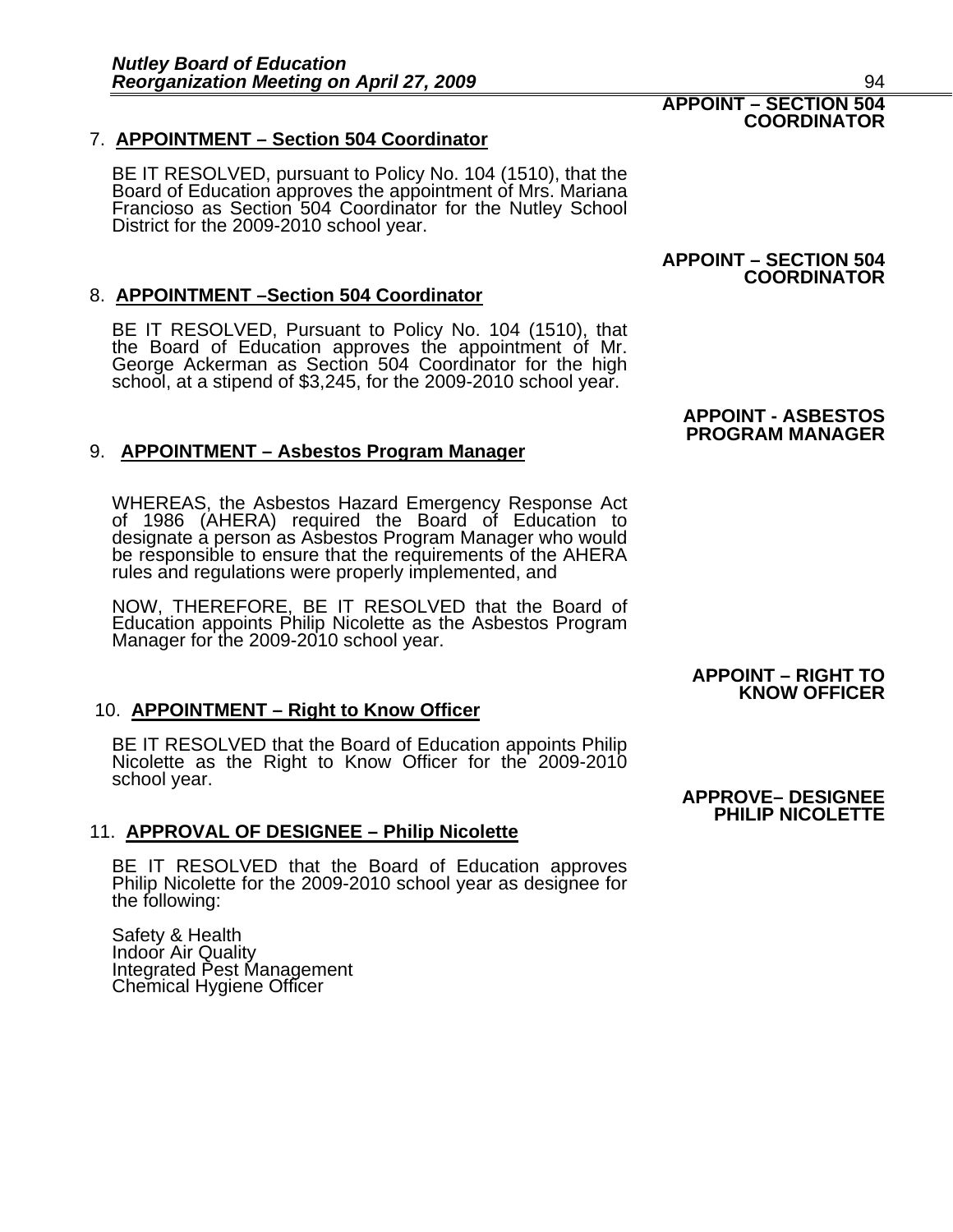# 7. **APPOINTMENT – Section 504 Coordinator**

BE IT RESOLVED, pursuant to Policy No. 104 (1510), that the Board of Education approves the appointment of Mrs. Mariana Francioso as Section 504 Coordinator for the Nutley School District for the 2009-2010 school year.

# 8. **APPOINTMENT –Section 504 Coordinator**

BE IT RESOLVED, Pursuant to Policy No. 104 (1510), that<br>the Board of Education approves the appointment of Mr.<br>George Ackerman as Section 504 Coordinator for the high<br>school, at a stipend of \$3,245, for the 2009-2010 schoo

# 9. **APPOINTMENT – Asbestos Program Manager**

WHEREAS, the Asbestos Hazard Emergency Response Act of 1986 (AHERA) required the Board of Education to designate a person as Asbestos Program Manager who would be responsible to ensure that the requirements of the AHERA rules and regulations were properly implemented, and

NOW, THEREFORE, BE IT RESOLVED that the Board of Education appoints Philip Nicolette as the Asbestos Program Manager for the 2009-2010 school year.

# 10. **APPOINTMENT – Right to Know Officer**

BE IT RESOLVED that the Board of Education appoints Philip Nicolette as the Right to Know Officer for the 2009-2010 school year. **APPROVE– DESIGNEE** 

# 11. **APPROVAL OF DESIGNEE – Philip Nicolette**

BE IT RESOLVED that the Board of Education approves Philip Nicolette for the 2009-2010 school year as designee for the following:

Safety & Health Indoor Air Quality Integrated Pest Management Chemical Hygiene Officer

# **APPOINT – SECTION 504**

**COORDINATOR**

#### **APPOINT - ASBESTOS PROGRAM MANAGER**

# **APPOINT – RIGHT TO KNOW OFFICER**

# **PHILIP NICOLETTE**

#### **APPOINT – SECTION 504 COORDINATOR**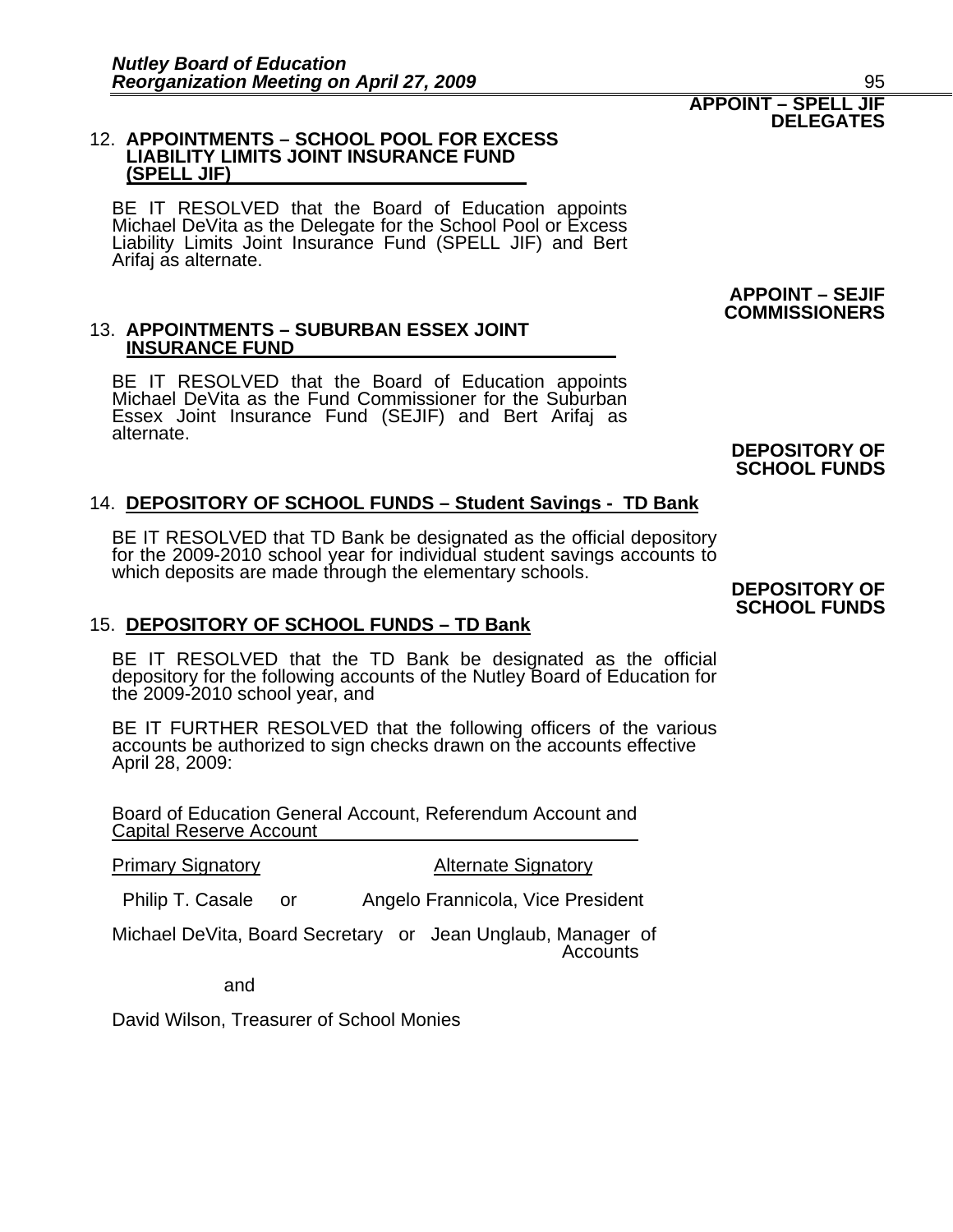#### 12. **APPOINTMENTS – SCHOOL POOL FOR EXCESS LIABILITY LIMITS JOINT INSURANCE FUND (SPELL JIF)**

BE IT RESOLVED that the Board of Education appoints Michael DeVita as the Delegate for the School Pool or Excess Liability Limits Joint Insurance Fund (SPELL JIF) and Bert Arifaj as alternate.

# 13. **APPOINTMENTS – SUBURBAN ESSEX JOINT INSURANCE FUND**

BE IT RESOLVED that the Board of Education appoints Michael DeVita as the Fund Commissioner for the Suburban Essex Joint Insurance Fund (SEJIF) and Bert Arifaj as alternate.

# 14. **DEPOSITORY OF SCHOOL FUNDS – Student Savings - TD Bank**

BE IT RESOLVED that TD Bank be designated as the official depository for the 2009-2010 school year for individual student savings accounts to which deposits are made through the elementary schools. **DEPOSITORY OF** 

## 15. **DEPOSITORY OF SCHOOL FUNDS – TD Bank**

BE IT RESOLVED that the TD Bank be designated as the official depository for the following accounts of the Nutley Board of Education for the 2009-2010 school year, and

BE IT FURTHER RESOLVED that the following officers of the various accounts be authorized to sign checks drawn on the accounts effective April 28, 2009:

Board of Education General Account, Referendum Account and Capital Reserve Account

**Primary Signatory Community Alternate Signatory** 

Philip T. Casale or Angelo Frannicola, Vice President

Michael DeVita, Board Secretary or Jean Unglaub, Manager of **Accounts** 

and

David Wilson, Treasurer of School Monies

**DEPOSITORY OF SCHOOL FUNDS**

**APPOINT – SEJIF COMMISSIONERS** 

# **SCHOOL FUNDS**

#### **APPOINT – SPELL JIF DELEGATES**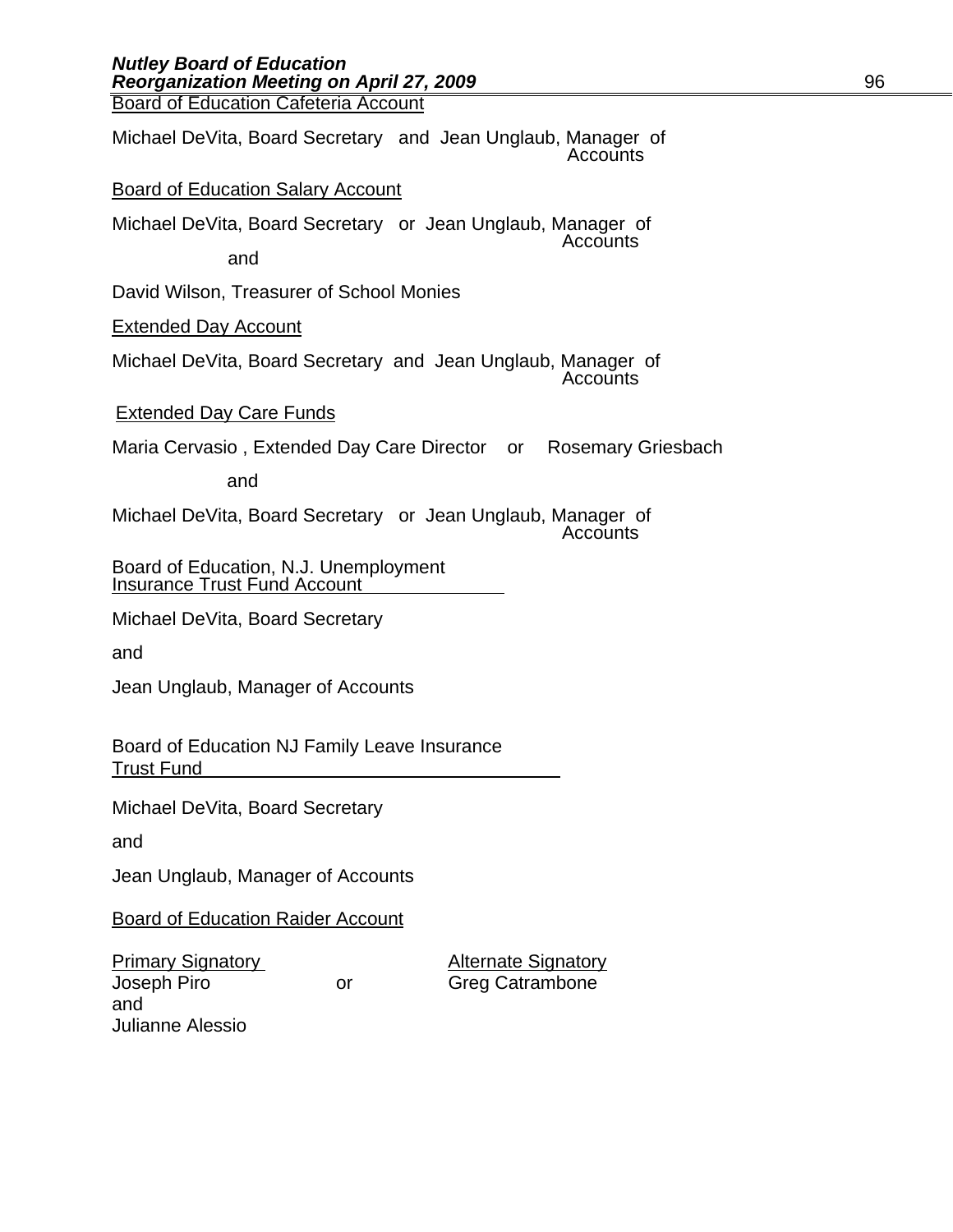| Michael DeVita, Board Secretary and Jean Unglaub, Manager of<br>Accounts     |
|------------------------------------------------------------------------------|
| <b>Board of Education Salary Account</b>                                     |
| Michael DeVita, Board Secretary or Jean Unglaub, Manager of<br>Accounts      |
| and                                                                          |
| David Wilson, Treasurer of School Monies                                     |
| <b>Extended Day Account</b>                                                  |
| Michael DeVita, Board Secretary and Jean Unglaub, Manager of<br>Accounts     |
| <b>Extended Day Care Funds</b>                                               |
| Maria Cervasio, Extended Day Care Director or<br><b>Rosemary Griesbach</b>   |
| and                                                                          |
| Michael DeVita, Board Secretary or Jean Unglaub, Manager of<br>Accounts      |
| Board of Education, N.J. Unemployment<br><b>Insurance Trust Fund Account</b> |
| Michael DeVita, Board Secretary                                              |
| and                                                                          |
| Jean Unglaub, Manager of Accounts                                            |
| Board of Education NJ Family Leave Insurance<br><b>Trust Fund</b>            |
| Michael DeVita, Board Secretary                                              |
| and                                                                          |
| Jean Unglaub, Manager of Accounts                                            |

Board of Education Raider Account

Primary Signatory<br>
Joseph Piro<br>
Creg Catrambone and Julianne Alessio

or Greg Catrambone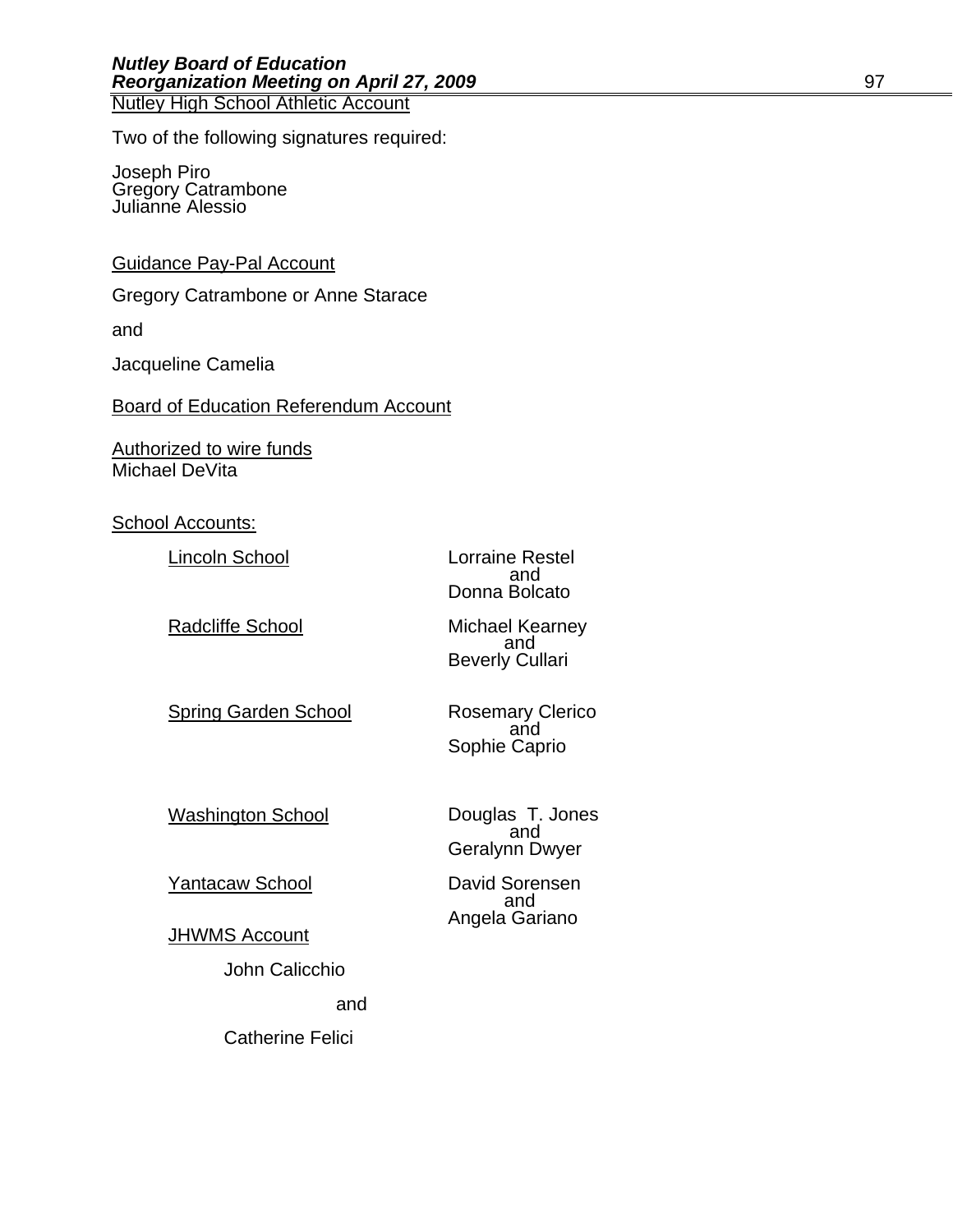Two of the following signatures required:

Joseph Piro Gregory Catrambone Julianne Alessio

### Guidance Pay-Pal Account

Gregory Catrambone or Anne Starace

and

Jacqueline Camelia

Board of Education Referendum Account

Authorized to wire funds Michael DeVita

School Accounts:

Lincoln School Lorraine Restel<br>and

Radcliffe School Michael Kearney<br>and

and the contract of the contract of the contract of the contract of the contract of the contract of the contract of the contract of the contract of the contract of the contract of the contract of the contract of the contra Donna Bolcato

Beverly Cullari

Spring Garden School **Rosemary Clerico**<br>and Sophie Caprio

Geralynn Dwyer

Washington School **Douglas T. Jones**<br>and

Yantacaw School David Sorensen and the contract of the contract of the contract of the contract of the contract of the contract of the contract of the contract of the contract of the contract of the contract of the contract of the contract of the contra

Angela Gariano JHWMS Account

John Calicchio and Catherine Felici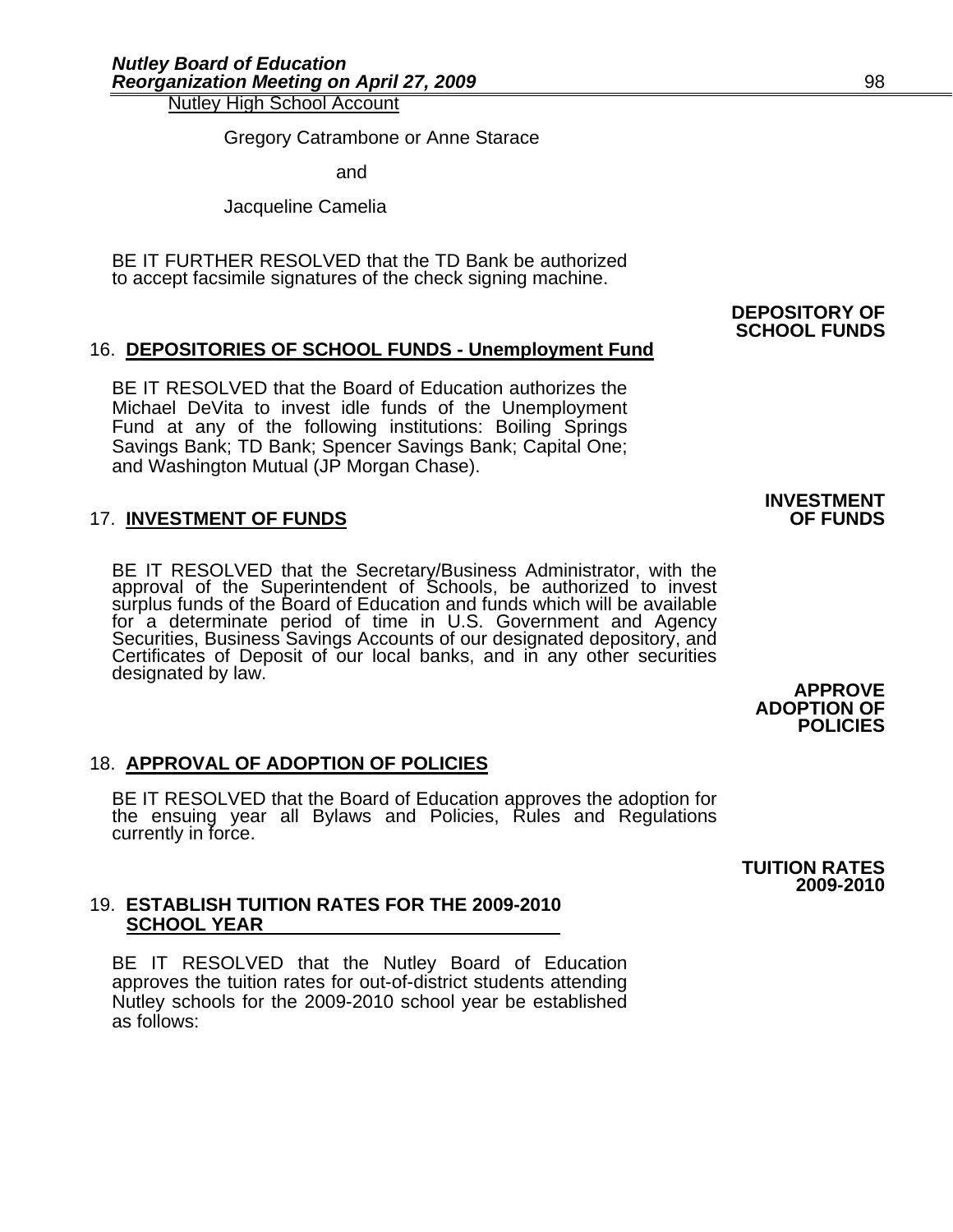Nutley High School Account<br>Gregory Catrambone or Anne Starace

and and state and and state and state and state and state and state and state and state and state  $\alpha$ 

Jacqueline Camelia

BE IT FURTHER RESOLVED that the TD Bank be authorized to accept facsimile signatures of the check signing machine.

# 16. **DEPOSITORIES OF SCHOOL FUNDS - Unemployment Fund**

BE IT RESOLVED that the Board of Education authorizes the Michael DeVita to invest idle funds of the Unemployment Fund at any of the following institutions: Boiling Springs Savings Bank; TD Bank; Spencer Savings Bank; Capital One; and Washington Mutual (JP Morgan Chase).

# **17. INVESTMENT OF FUNDS**

BE IT RESOLVED that the Secretary/Business Administrator, with the approval of the Superintendent of Schools, be authorized to invest surplus funds of the Board of Education and funds which will be available for a determinate period of time in U.S. Government and Agency Securities, Business Savings Accounts of our designated depository, and Certificates of Deposit of our local banks, and in any other securities designated by law. **APPROVE** 

# 18. **APPROVAL OF ADOPTION OF POLICIES**

BE IT RESOLVED that the Board of Education approves the adoption for the ensuing year all Bylaws and Policies, Rules and Regulations currently in force.

### 19. **ESTABLISH TUITION RATES FOR THE 2009-2010 SCHOOL YEAR**

BE IT RESOLVED that the Nutley Board of Education approves the tuition rates for out-of-district students attending Nutley schools for the 2009-2010 school year be established as follows:

**DEPOSITORY OF SCHOOL FUNDS**

**TUITION RATES** 

**ADOPTION OF POLICIES** 

**2009-2010**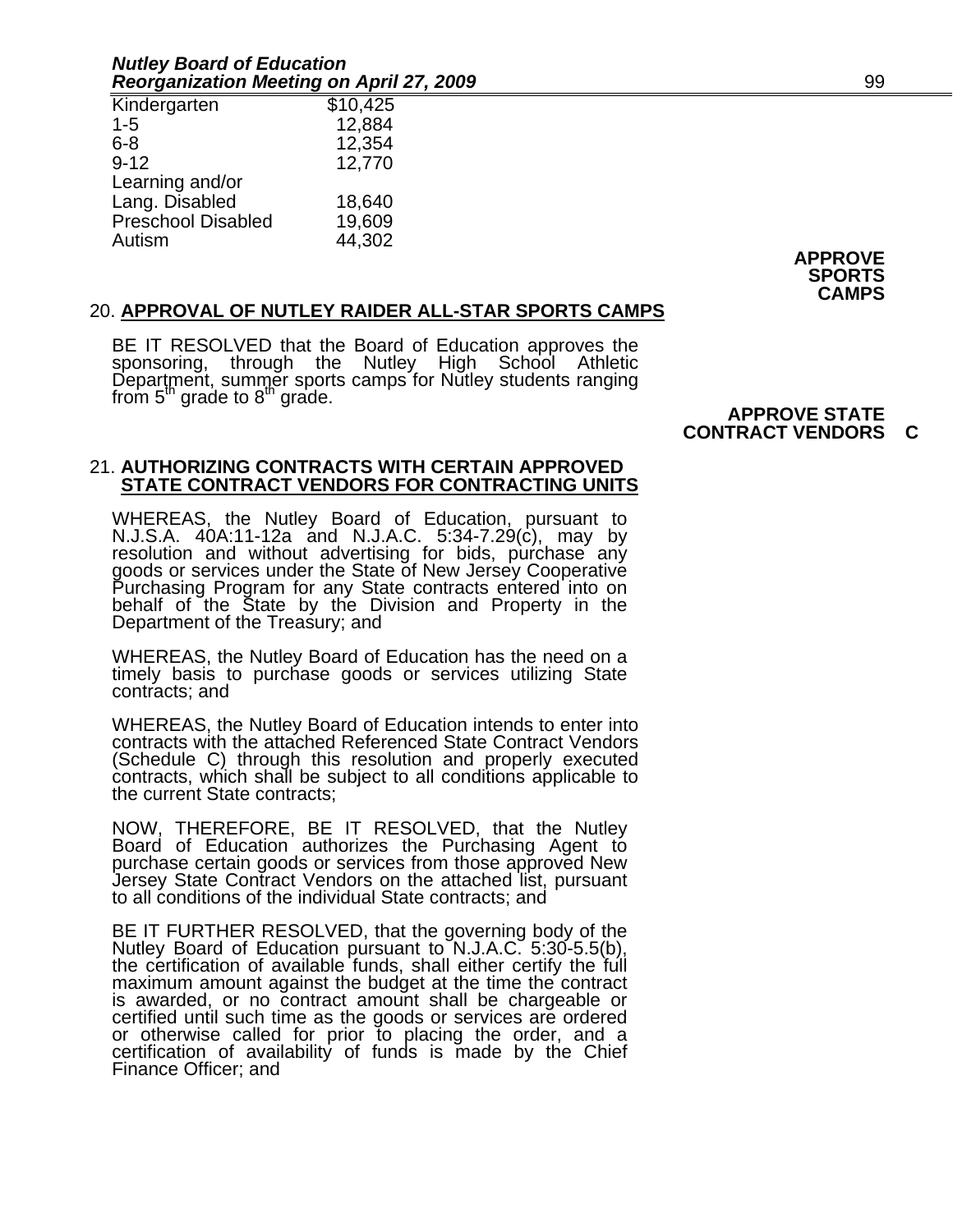#### *Nutley Board of Education Reorganization Meeting on April 27, 2009* 99

| Kindergarten       | \$10,425 |
|--------------------|----------|
| $1 - 5$            | 12,884   |
| 6-8                | 12,354   |
| $9 - 12$           | 12,770   |
| Learning and/or    |          |
| Lang. Disabled     | 18,640   |
| Preschool Disabled | 19,609   |
| Autism             | 44,302   |

**APPROVE SPORTS CAMPS** 

# 20. **APPROVAL OF NUTLEY RAIDER ALL-STAR SPORTS CAMPS**

BE IT RESOLVED that the Board of Education approves the<br>sponsoring, through the Nutley High School Athletic<br>Department, summer sports camps for Nutley students ranging<br>from 5<sup>th</sup> grade to 8<sup>th</sup> grade. **APPROVE STATE** 

# **CONTRACT VENDORS C**

#### 21. **AUTHORIZING CONTRACTS WITH CERTAIN APPROVED STATE CONTRACT VENDORS FOR CONTRACTING UNITS**

WHEREAS, the Nutley Board of Education, pursuant to N.J.S.A. 40A:11-12a and N.J.A.C. 5:34-7.29(c), may by resolution and without advertising for bids, purchase any goods or services under the State of New Jersey Cooperativ behalf of the State by the Division and Property in the Department of the Treasury; and

WHEREAS, the Nutley Board of Education has the need on a timely basis to purchase goods or services utilizing State contracts; and

WHEREAS, the Nutley Board of Education intends to enter into contracts with the attached Referenced State Contract Vendors (Schedule C) through this resolution and properly executed contracts, which shall be subject to all conditions applicable to the current State contracts;

NOW, THEREFORE, BE IT RESOLVED, that the Nutley Board of Education authorizes the Purchasing Agent to purchase certain goods or services from those approved New Jersey State Contract Vendors on the attached list, pursuant

BE IT FURTHER RESOLVED, that the governing body of the Nutley Board of Education pursuant to N.J.A.C. 5:30-5.5(b), the certification of available funds, shall either certify the full maximum amount against the budget at th is awarded, or no contract amount shall be chargeable or<br>certified until such time as the goods or services are ordered<br>or otherwise called for prior to placing the order, and a<br>certification of availability of funds is ma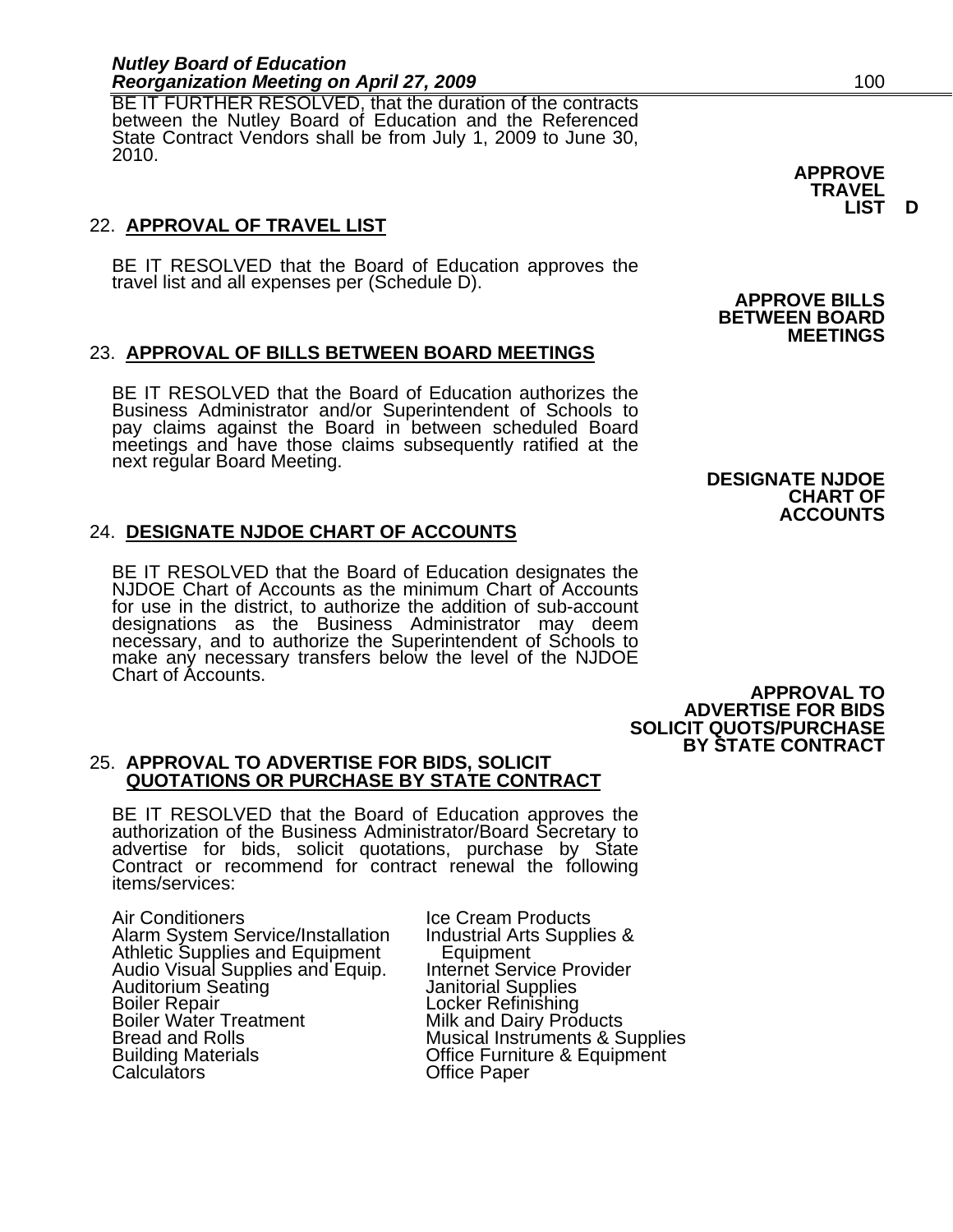BE IT FURTHER RESOLVED, that the duration of the contracts between the Nutley Board of Education and the Referenced State Contract Vendors shall be from July 1, 2009 to June 30, 2010.

# 22. **APPROVAL OF TRAVEL LIST**

BE IT RESOLVED that the Board of Education approves the travel list and all expenses per (Schedule D).

# 23. **APPROVAL OF BILLS BETWEEN BOARD MEETINGS**

BE IT RESOLVED that the Board of Education authorizes the Business Administrator and/or Superintendent of Schools to pay claims against the Board in between scheduled Board meetings and have those claims subsequently ratified at the next regular Board Meeting.

# 24. **DESIGNATE NJDOE CHART OF ACCOUNTS**

BE IT RESOLVED that the Board of Education designates the NJDOE Chart of Accounts as the minimum Chart of Accounts for use in the district, to authorize the addition of sub-account designations as the Business Administrator may deem necessary, and to authorize the Superintendent of Schools to make any necessary transfers below the level of the NJDOE make any necessary transfers below the level of the NJDOE Chart of Accounts.

# **DESIGNATE NJDOE CHART OF**

**APPROVE BILLS BETWEEN BOARD**

**MEETINGS** 

**ACCOUNTS** 

**APPROVAL TO ADVERTISE FOR BIDS SOLICIT QUOTS/PURCHASE BY STATE CONTRACT** 

#### 25. **APPROVAL TO ADVERTISE FOR BIDS, SOLICIT QUOTATIONS OR PURCHASE BY STATE CONTRACT**

BE IT RESOLVED that the Board of Education approves the authorization of the Business Administrator/Board Secretary to advertise for bids, solicit quotations, purchase by State Contract or recommend for contract renewal th

Air Conditioners<br>Alarm System Service/Installation Industrial Arts Supplies & Alarm System Service/Installation Industrial Arts<br>Athletic Supplies and Equipment Equipment Athletic Supplies and Equipment Equipment Audio Visual Supplies and Equip. Internet Service Provider Audio Visual Supplies and Equip. Internet Service Provider<br>Auditorium Seating The Manitorial Supplies<br>Boiler Repair The Locker Refinishing Boiler Water Treatment<br>Bread and Rolls Bread and Rolls Musical Instruments & Supplies<br>Building Materials Office Furniture & Equipment Building Materials **Contains Exercise Control** Calculators Calculators Calculators Calculators Calculators Calculators Calculators Calculators Calculators Calculators Calculators Calculators Calculators Calculators Calcula

Locker Refinishing<br>Milk and Dairy Products **Office Paper** 

**LIST D** 

**APPROVE TRAVEL**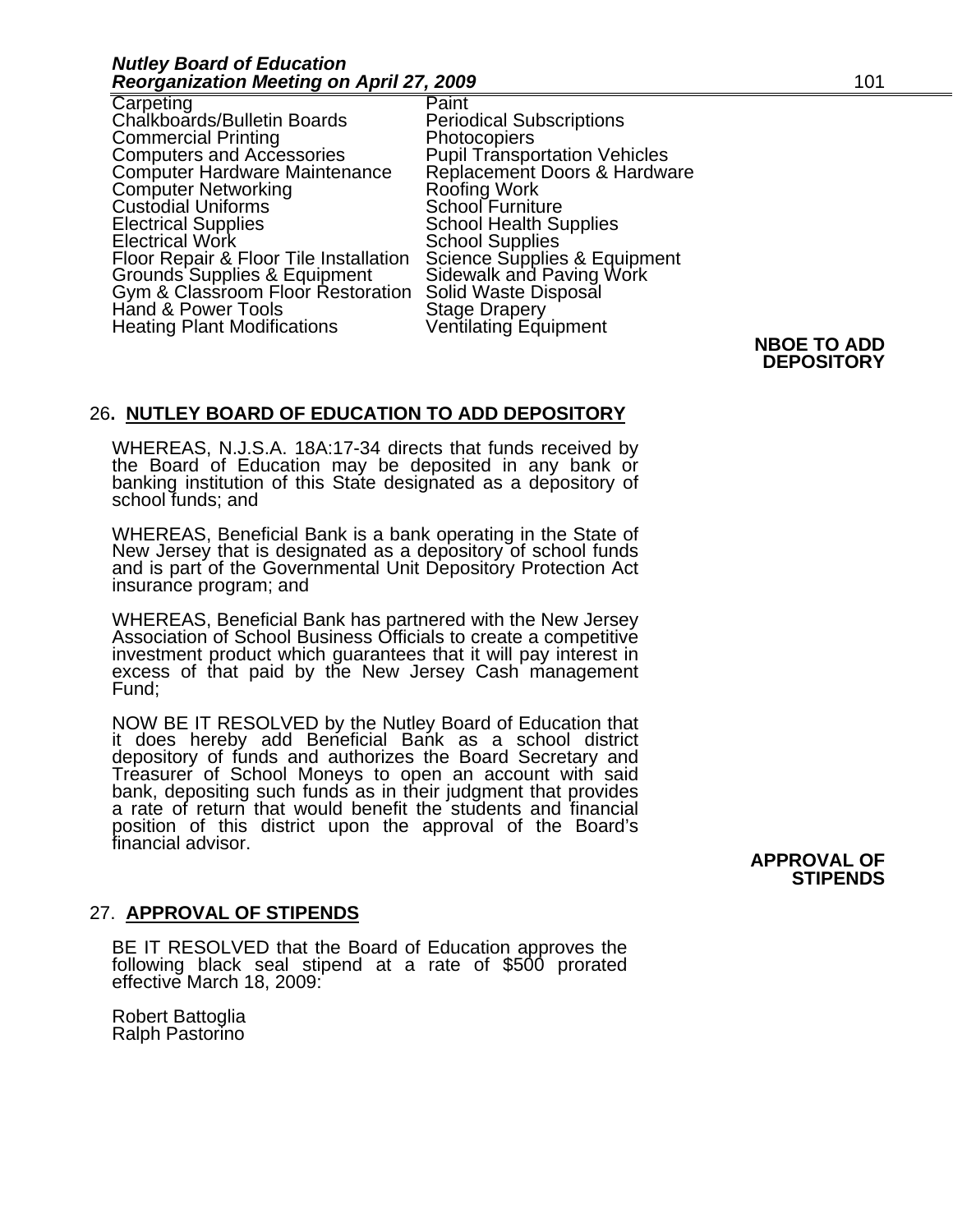| Carpeting                                                         |
|-------------------------------------------------------------------|
| Chalkboards/Bulletin Boards                                       |
| <b>Commercial Printing</b>                                        |
| <b>Computers and Accessories</b>                                  |
| <b>Computer Hardware Maintenance</b>                              |
| <b>Computer Networking</b>                                        |
| <b>Custodial Uniforms</b>                                         |
| <b>Electrical Supplies</b>                                        |
| <b>Electrical Work</b>                                            |
| Floor Repair & Floor Tile Installation                            |
| Grounds Supplies & Equipment<br>Gym & Classroom Floor Restoration |
|                                                                   |
| Hand & Power Tools                                                |
| <b>Heating Plant Modifications</b>                                |
|                                                                   |

Paint **Periodical Subscriptions Photocopiers Pupil Transportation Vehicles** Replacement Doors & Hardware Roofing Work School Furniture **School Health Supplies** School Supplies Science Supplies & Equipment Sidewalk and Paving Work Solid Waste Disposal **Stage Drapery** Ventilating Equipment

### **NBOE TO ADD DEPOSITORY**

# 26**. NUTLEY BOARD OF EDUCATION TO ADD DEPOSITORY**

WHEREAS, N.J.S.A. 18A:17-34 directs that funds received by the Board of Education may be deposited in any bank or banking institution of this State designated as a depository of school funds; and

WHEREAS, Beneficial Bank is a bank operating in the State of New Jersey that is designated as a depository of school funds and is part of the Governmental Unit Depository Protection Act insurance program; and

WHEREAS, Beneficial Bank has partnered with the New Jersey<br>Association of School Business Officials to create a competitive<br>investment product which guarantees that it will pay interest in<br>excess of that paid by the New Je

NOW BE IT RESOLVED by the Nutley Board of Education that it does hereby add Beneficial Bank as a school district Treasurer of School Moneys to open an account with said<br>bank, depositing such funds as in their judgment that provides<br>a rate of return that would benefit the students and financial position of this district upon the approval of the Board's financial advisor.

#### **APPROVAL OF STIPENDS**

# 27. **APPROVAL OF STIPENDS**

BE IT RESOLVED that the Board of Education approves the following black seal stipend at a rate of \$500 prorated effective March 18, 2009:

Robert Battoglia Ralph Pastorino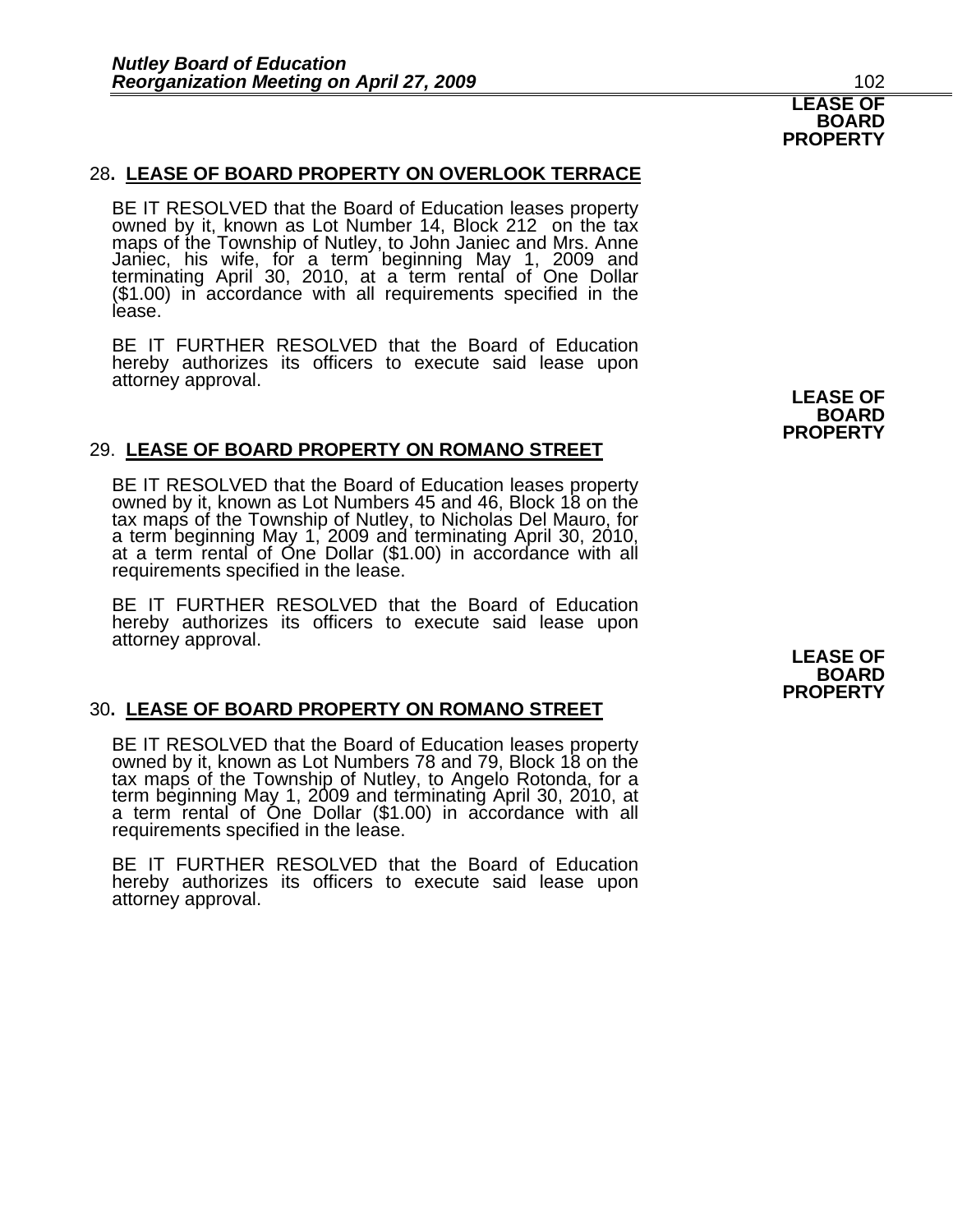## 28**. LEASE OF BOARD PROPERTY ON OVERLOOK TERRACE**

BE IT RESOLVED that the Board of Education leases property owned by it, known as Lot Number 14, Block 212 on the tax maps of the Township of Nutley, to John Janiec and Mrs. Anne maps of the Township of Nutley, to John Janiec and Mrs. Anne<br>Janiec, his wife, for a term beginning May 1, 2009 and terminating April 30, 2010, at a term rental of One Dollar (\$1.00) in accordance with all requirements specified in the<br>lease.

BE IT FURTHER RESOLVED that the Board of Education hereby authorizes its officers to execute said lease upon attorney approval. **LEASE OF** 

#### 29. **LEASE OF BOARD PROPERTY ON ROMANO STREET**

BE IT RESOLVED that the Board of Education leases property owned by it, known as Lot Numbers 45 and 46, Block 18 on the tax maps of the Township of Nutley, to Nicholas Del Mauro, for a term beginning May 1, 2009 and terminating April 30, 2010, at a term rental of One Dollar (\$1.00) in accordance with all requirements specified in the lease.

BE IT FURTHER RESOLVED that the Board of Education hereby authorizes its officers to execute said lease upon attorney approval. **LEASE OF** 

#### 30**. LEASE OF BOARD PROPERTY ON ROMANO STREET**

BE IT RESOLVED that the Board of Education leases property owned by it, known as Lot Numbers 78 and 79, Block 18 on the tax maps of the Township of Nutley, to Angelo Rotonda, for a term beginning May 1, 2009 and terminating April 30, 2010, at<br>a term rental of One Dollar (\$1.00) in accordance with all<br>requirements specified in the lease.

BE IT FURTHER RESOLVED that the Board of Education hereby authorizes its officers to execute said lease upon attorney approval.

**BOARD PROPERTY** 

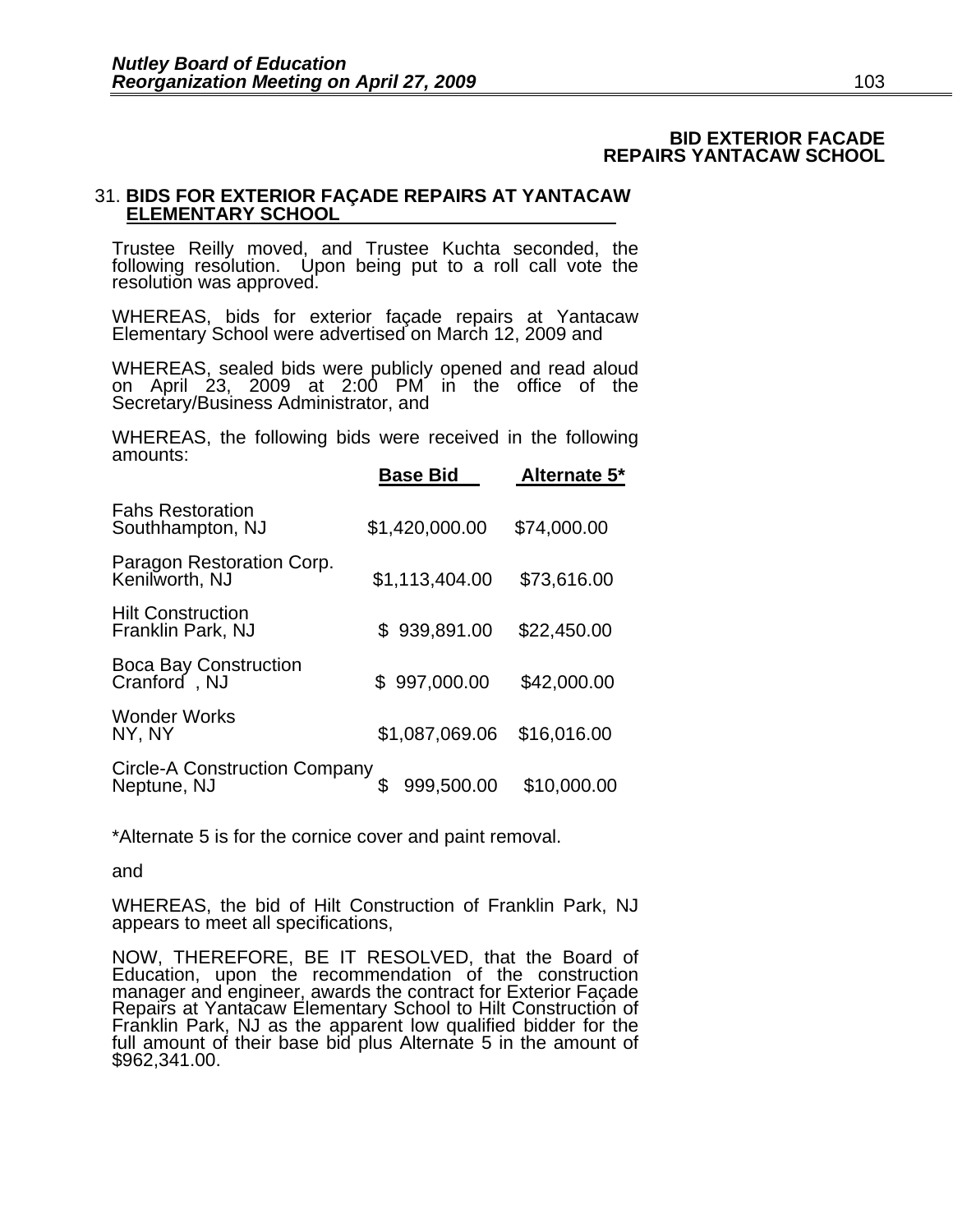### **BID EXTERIOR FACADE REPAIRS YANTACAW SCHOOL**

# 31. **BIDS FOR EXTERIOR FAÇADE REPAIRS AT YANTACAW ELEMENTARY SCHOOL**

Trustee Reilly moved, and Trustee Kuchta seconded, the following resolution. Upon being put to a roll call vote the resolution was approved.

WHEREAS, bids for exterior façade repairs at Yantacaw Elementary School were advertised on March 12, 2009 and

 WHEREAS, sealed bids were publicly opened and read aloud<br>on April 23, 2009 at 2:00 PM in the office of the Secretary/Business Administrator, and

WHEREAS, the following bids were received in the following amounts:

|                                                     | <b>Base Bid</b> | Alternate 5* |
|-----------------------------------------------------|-----------------|--------------|
| <b>Fahs Restoration</b><br>Southhampton, NJ         | \$1,420,000.00  | \$74,000.00  |
| Paragon Restoration Corp.<br>Kenilworth, NJ         | \$1,113,404.00  | \$73,616.00  |
| <b>Hilt Construction</b><br>Franklin Park, NJ       | 939,891.00<br>S | \$22,450.00  |
| <b>Boca Bay Construction</b><br>Cranford, NJ        | \$997,000.00    | \$42,000.00  |
| <b>Wonder Works</b><br>NY, NY                       | \$1,087,069.06  | \$16,016.00  |
| <b>Circle-A Construction Company</b><br>Neptune, NJ | 999,500.00      | \$10,000.00  |

\*Alternate 5 is for the cornice cover and paint removal.

and

WHEREAS, the bid of Hilt Construction of Franklin Park, NJ appears to meet all specifications,

NOW, THEREFORE, BE IT RESOLVED, that the Board of Education, upon the recommendation of the construction manager and engineer, awards the contract for Exterior Façade<br>Repairs at Yantacaw Elementary School to Hilt Construction of Franklin Park, NJ as the apparent low qualified bidder for the full amount of their base bid plus Alternate 5 in the amount of \$962,341.00.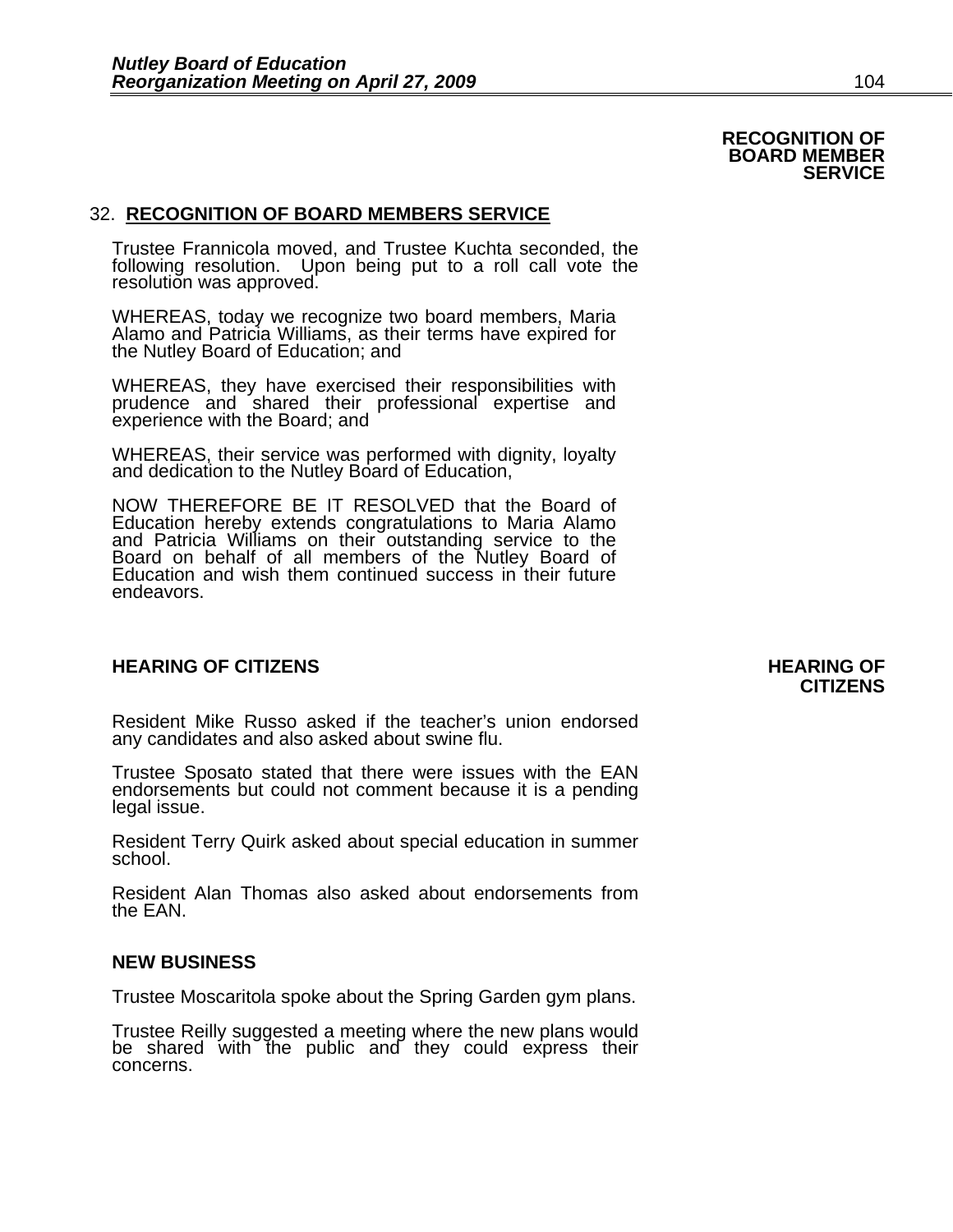# 32. **RECOGNITION OF BOARD MEMBERS SERVICE**

Trustee Frannicola moved, and Trustee Kuchta seconded, the following resolution. Upon being put to a roll call vote the resolution was approved.

WHEREAS, today we recognize two board members, Maria Alamo and Patricia Williams, as their terms have expired for the Nutley Board of Education; and

WHEREAS, they have exercised their responsibilities with prudence and shared their professional expertise and experience with the Board; and

WHEREAS, their service was performed with dignity, loyalty and dedication to the Nutley Board of Education,

NOW THEREFORE BE IT RESOLVED that the Board of Education hereby extends congratulations to Maria Alamo and Patricia Williams on their outstanding service to the Board on behalf of all members of the Nutley Board of Education and wish them continued success in their future endeavors.

### **HEARING OF CITIZENS AND REARING OF STATES**

Resident Mike Russo asked if the teacher's union endorsed any candidates and also asked about swine flu.

Trustee Sposato stated that there were issues with the EAN endorsements but could not comment because it is a pending legal issue.

Resident Terry Quirk asked about special education in summer school.

Resident Alan Thomas also asked about endorsements from the EAN.

#### **NEW BUSINESS**

Trustee Moscaritola spoke about the Spring Garden gym plans.

Trustee Reilly suggested a meeting where the new plans would be shared with the public and they could express their concerns.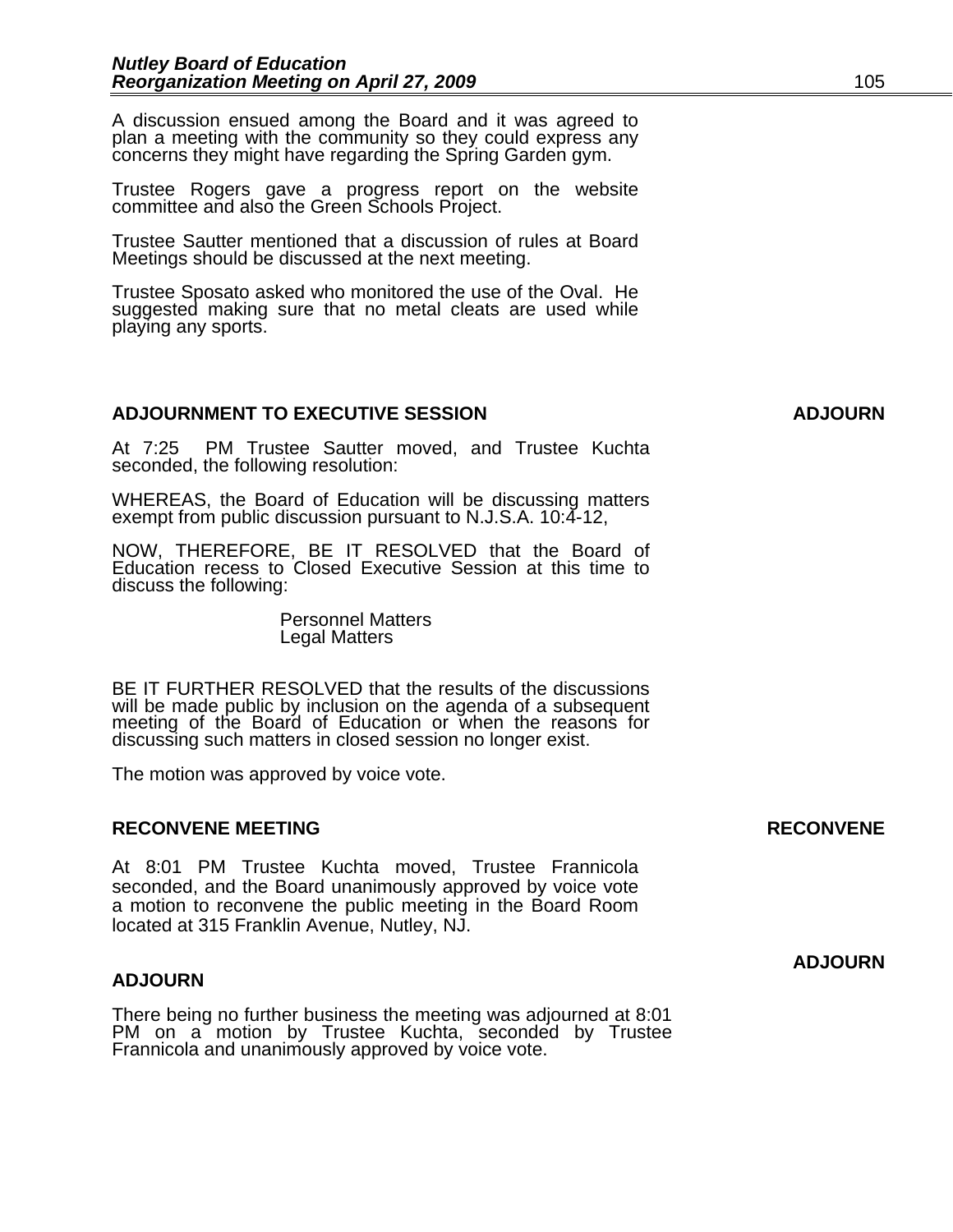A discussion ensued among the Board and it was agreed to plan a meeting with the community so they could express any concerns they might have regarding the Spring Garden gym.

Trustee Rogers gave a progress report on the website committee and also the Green Schools Project.

Trustee Sautter mentioned that a discussion of rules at Board Meetings should be discussed at the next meeting.

Trustee Sposato asked who monitored the use of the Oval. He suggested making sure that no metal cleats are used while playing any sports.

# **ADJOURNMENT TO EXECUTIVE SESSION ADJOURN**

At 7:25 PM Trustee Sautter moved, and Trustee Kuchta seconded, the following resolution:

WHEREAS, the Board of Education will be discussing matters exempt from public discussion pursuant to N.J.S.A. 10:4-12,

NOW, THEREFORE, BE IT RESOLVED that the Board of Education recess to Closed Executive Session at this time to discuss the following:

> Personnel Matters Legal Matters

 BE IT FURTHER RESOLVED that the results of the discussions will be made public by inclusion on the agenda of a subsequent meeting of the Board of Education or when the reasons for discussing such matters in closed session no longer exist.

 The motion was approved by voice vote.

# **RECONVENE MEETING RECONVENE RECONVENE**

At 8:01 PM Trustee Kuchta moved, Trustee Frannicola seconded, and the Board unanimously approved by voice vote a motion to reconvene the public meeting in the Board Room located at 315 Franklin Avenue, Nutley, NJ.

#### **ADJOURN**

There being no further business the meeting was adjourned at 8:01 PM on a motion by Trustee Kuchta, seconded by Trustee Frannicola and unanimously approved by voice vote.

**ADJOURN**